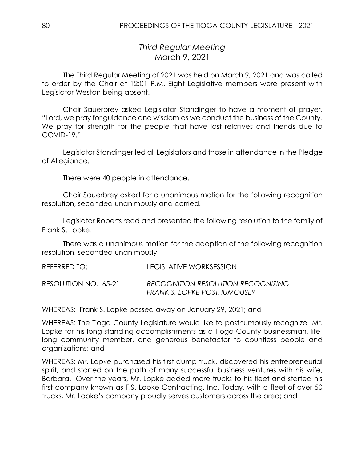*Third Regular Meeting* March 9, 2021

The Third Regular Meeting of 2021 was held on March 9, 2021 and was called to order by the Chair at 12:01 P.M. Eight Legislative members were present with Legislator Weston being absent.

Chair Sauerbrey asked Legislator Standinger to have a moment of prayer. "Lord, we pray for guidance and wisdom as we conduct the business of the County. We pray for strength for the people that have lost relatives and friends due to COVID-19."

Legislator Standinger led all Legislators and those in attendance in the Pledge of Allegiance.

There were 40 people in attendance.

Chair Sauerbrey asked for a unanimous motion for the following recognition resolution, seconded unanimously and carried.

Legislator Roberts read and presented the following resolution to the family of Frank S. Lopke.

There was a unanimous motion for the adoption of the following recognition resolution, seconded unanimously.

REFERRED TO: LEGISLATIVE WORKSESSION RESOLUTION NO. 65-21 *RECOGNITION RESOLUTION RECOGNIZING FRANK S. LOPKE POSTHUMOUSLY*

WHEREAS: Frank S. Lopke passed away on January 29, 2021; and

WHEREAS: The Tioga County Legislature would like to posthumously recognize Mr. Lopke for his long-standing accomplishments as a Tioga County businessman, lifelong community member, and generous benefactor to countless people and organizations; and

WHEREAS: Mr. Lopke purchased his first dump truck, discovered his entrepreneurial spirit, and started on the path of many successful business ventures with his wife, Barbara. Over the years, Mr. Lopke added more trucks to his fleet and started his first company known as F.S. Lopke Contracting, Inc. Today, with a fleet of over 50 trucks, Mr. Lopke's company proudly serves customers across the area; and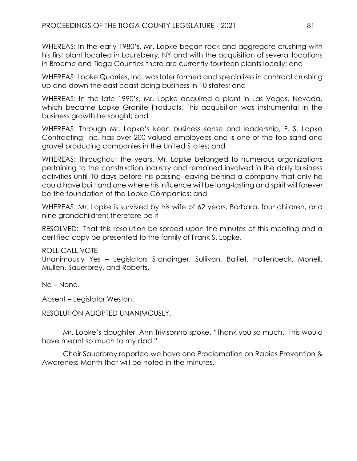WHEREAS: In the early 1980's, Mr. Lopke began rock and aggregate crushing with his first plant located in Lounsberry, NY and with the acquisition of several locations in Broome and Tioga Counties there are currently fourteen plants locally; and

WHEREAS: Lopke Quarries, Inc. was later formed and specializes in contract crushing up and down the east coast doing business in 10 states; and

WHEREAS: In the late 1990's, Mr. Lopke acquired a plant in Las Vegas, Nevada, which became Lopke Granite Products. This acquisition was instrumental in the business growth he sought; and

WHEREAS: Through Mr. Lopke's keen business sense and leadership, F. S. Lopke Contracting, Inc. has over 200 valued employees and is one of the top sand and gravel producing companies in the United States; and

WHEREAS: Throughout the years, Mr. Lopke belonged to numerous organizations pertaining to the construction industry and remained involved in the daily business activities until 10 days before his passing leaving behind a company that only he could have built and one where his influence will be long-lasting and spirit will forever be the foundation of the Lopke Companies; and

WHEREAS: Mr. Lopke is survived by his wife of 62 years, Barbara, four children, and nine grandchildren; therefore be it

RESOLVED: That this resolution be spread upon the minutes of this meeting and a certified copy be presented to the family of Frank S. Lopke.

ROLL CALL VOTE

Unanimously Yes – Legislators Standinger, Sullivan, Balliet, Hollenbeck, Monell, Mullen, Sauerbrey, and Roberts.

No – None.

Absent – Legislator Weston.

RESOLUTION ADOPTED UNANIMOUSLY.

Mr. Lopke's daughter, Ann Trivisonno spoke. "Thank you so much. This would have meant so much to my dad."

Chair Sauerbrey reported we have one Proclamation on Rabies Prevention & Awareness Month that will be noted in the minutes.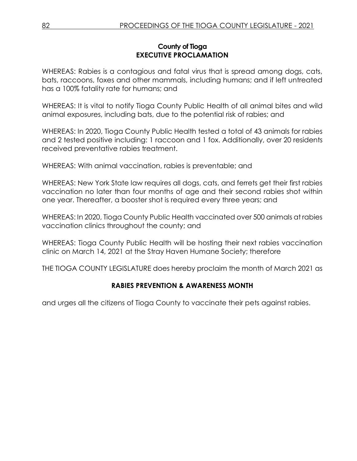## **County of Tioga EXECUTIVE PROCLAMATION**

WHEREAS: Rabies is a contagious and fatal virus that is spread among dogs, cats, bats, raccoons, foxes and other mammals, including humans; and if left untreated has a 100% fatality rate for humans; and

WHEREAS: It is vital to notify Tioga County Public Health of all animal bites and wild animal exposures, including bats, due to the potential risk of rabies; and

WHEREAS: In 2020, Tioga County Public Health tested a total of 43 animals for rabies and 2 tested positive including: 1 raccoon and 1 fox. Additionally, over 20 residents received preventative rabies treatment.

WHEREAS: With animal vaccination, rabies is preventable; and

WHEREAS: New York State law requires all dogs, cats, and ferrets get their first rabies vaccination no later than four months of age and their second rabies shot within one year. Thereafter, a booster shot is required every three years; and

WHEREAS: In 2020, Tioga County Public Health vaccinated over 500 animals at rabies vaccination clinics throughout the county; and

WHEREAS: Tioga County Public Health will be hosting their next rabies vaccination clinic on March 14, 2021 at the Stray Haven Humane Society; therefore

THE TIOGA COUNTY LEGISLATURE does hereby proclaim the month of March 2021 as

# **RABIES PREVENTION & AWARENESS MONTH**

and urges all the citizens of Tioga County to vaccinate their pets against rabies.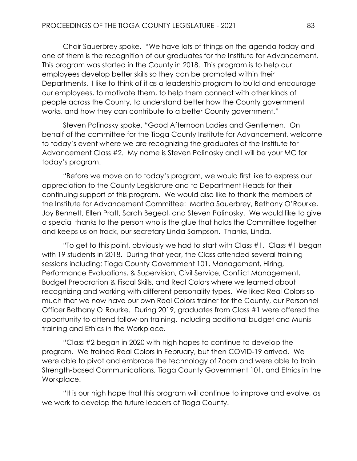Chair Sauerbrey spoke. "We have lots of things on the agenda today and one of them is the recognition of our graduates for the Institute for Advancement. This program was started in the County in 2018. This program is to help our employees develop better skills so they can be promoted within their Departments. I like to think of it as a leadership program to build and encourage our employees, to motivate them, to help them connect with other kinds of people across the County, to understand better how the County government works, and how they can contribute to a better County government."

Steven Palinosky spoke. "Good Afternoon Ladies and Gentlemen. On behalf of the committee for the Tioga County Institute for Advancement, welcome to today's event where we are recognizing the graduates of the Institute for Advancement Class #2. My name is Steven Palinosky and I will be your MC for today's program.

"Before we move on to today's program, we would first like to express our appreciation to the County Legislature and to Department Heads for their continuing support of this program. We would also like to thank the members of the Institute for Advancement Committee: Martha Sauerbrey, Bethany O'Rourke, Joy Bennett, Ellen Pratt, Sarah Begeal, and Steven Palinosky. We would like to give a special thanks to the person who is the glue that holds the Committee together and keeps us on track, our secretary Linda Sampson. Thanks, Linda.

"To get to this point, obviously we had to start with Class #1. Class #1 began with 19 students in 2018. During that year, the Class attended several training sessions including: Tioga County Government 101, Management, Hiring, Performance Evaluations, & Supervision, Civil Service, Conflict Management, Budget Preparation & Fiscal Skills, and Real Colors where we learned about recognizing and working with different personality types. We liked Real Colors so much that we now have our own Real Colors trainer for the County, our Personnel Officer Bethany O'Rourke. During 2019, graduates from Class #1 were offered the opportunity to attend follow-on training, including additional budget and Munis training and Ethics in the Workplace.

"Class #2 began in 2020 with high hopes to continue to develop the program. We trained Real Colors in February, but then COVID-19 arrived. We were able to pivot and embrace the technology of Zoom and were able to train Strength-based Communications, Tioga County Government 101, and Ethics in the Workplace.

"It is our high hope that this program will continue to improve and evolve, as we work to develop the future leaders of Tioga County.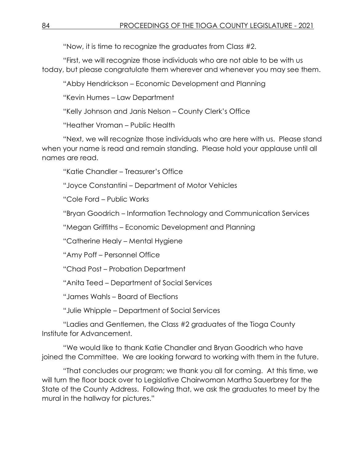"Now, it is time to recognize the graduates from Class #2.

"First, we will recognize those individuals who are not able to be with us today, but please congratulate them wherever and whenever you may see them.

"Abby Hendrickson – Economic Development and Planning

"Kevin Humes – Law Department

"Kelly Johnson and Janis Nelson – County Clerk's Office

"Heather Vroman – Public Health

"Next, we will recognize those individuals who are here with us. Please stand when your name is read and remain standing. Please hold your applause until all names are read.

"Katie Chandler – Treasurer's Office

"Joyce Constantini – Department of Motor Vehicles

"Cole Ford – Public Works

"Bryan Goodrich – Information Technology and Communication Services

"Megan Griffiths – Economic Development and Planning

"Catherine Healy – Mental Hygiene

"Amy Poff – Personnel Office

"Chad Post – Probation Department

"Anita Teed – Department of Social Services

"James Wahls – Board of Elections

"Julie Whipple – Department of Social Services

"Ladies and Gentlemen, the Class #2 graduates of the Tioga County Institute for Advancement.

"We would like to thank Katie Chandler and Bryan Goodrich who have joined the Committee. We are looking forward to working with them in the future.

"That concludes our program; we thank you all for coming. At this time, we will turn the floor back over to Legislative Chairwoman Martha Sauerbrey for the State of the County Address. Following that, we ask the graduates to meet by the mural in the hallway for pictures."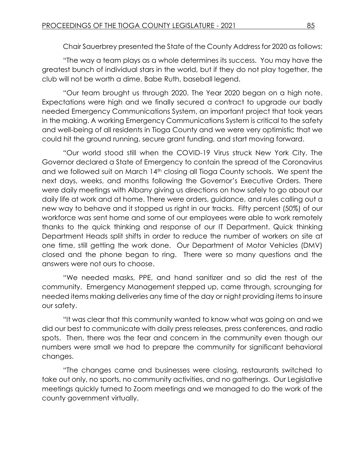Chair Sauerbrey presented the State of the County Address for 2020 as follows:

"The way a team plays as a whole determines its success. You may have the greatest bunch of individual stars in the world, but if they do not play together, the club will not be worth a dime. Babe Ruth, baseball legend.

"Our team brought us through 2020. The Year 2020 began on a high note. Expectations were high and we finally secured a contract to upgrade our badly needed Emergency Communications System, an important project that took years in the making. A working Emergency Communications System is critical to the safety and well-being of all residents in Tioga County and we were very optimistic that we could hit the ground running, secure grant funding, and start moving forward.

"Our world stood still when the COVID-19 Virus struck New York City. The Governor declared a State of Emergency to contain the spread of the Coronavirus and we followed suit on March 14<sup>th</sup> closing all Tioga County schools. We spent the next days, weeks, and months following the Governor's Executive Orders. There were daily meetings with Albany giving us directions on how safely to go about our daily life at work and at home. There were orders, guidance, and rules calling out a new way to behave and it stopped us right in our tracks. Fifty percent (50%) of our workforce was sent home and some of our employees were able to work remotely thanks to the quick thinking and response of our IT Department. Quick thinking Department Heads split shifts in order to reduce the number of workers on site at one time, still getting the work done. Our Department of Motor Vehicles (DMV) closed and the phone began to ring. There were so many questions and the answers were not ours to choose.

"We needed masks, PPE, and hand sanitizer and so did the rest of the community. Emergency Management stepped up, came through, scrounging for needed items making deliveries any time of the day or night providing items to insure our safety.

"It was clear that this community wanted to know what was going on and we did our best to communicate with daily press releases, press conferences, and radio spots. Then, there was the fear and concern in the community even though our numbers were small we had to prepare the community for significant behavioral changes.

"The changes came and businesses were closing, restaurants switched to take out only, no sports, no community activities, and no gatherings. Our Legislative meetings quickly turned to Zoom meetings and we managed to do the work of the county government virtually.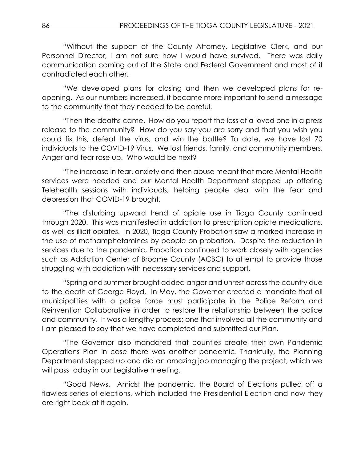"Without the support of the County Attorney, Legislative Clerk, and our Personnel Director, I am not sure how I would have survived. There was daily communication coming out of the State and Federal Government and most of it contradicted each other.

"We developed plans for closing and then we developed plans for reopening. As our numbers increased, it became more important to send a message to the community that they needed to be careful.

"Then the deaths came. How do you report the loss of a loved one in a press release to the community? How do you say you are sorry and that you wish you could fix this, defeat the virus, and win the battle? To date, we have lost 70 individuals to the COVID-19 Virus. We lost friends, family, and community members. Anger and fear rose up. Who would be next?

"The increase in fear, anxiety and then abuse meant that more Mental Health services were needed and our Mental Health Department stepped up offering Telehealth sessions with individuals, helping people deal with the fear and depression that COVID-19 brought.

"The disturbing upward trend of opiate use in Tioga County continued through 2020. This was manifested in addiction to prescription opiate medications, as well as illicit opiates. In 2020, Tioga County Probation saw a marked increase in the use of methamphetamines by people on probation. Despite the reduction in services due to the pandemic, Probation continued to work closely with agencies such as Addiction Center of Broome County (ACBC) to attempt to provide those struggling with addiction with necessary services and support.

"Spring and summer brought added anger and unrest across the country due to the death of George Floyd. In May, the Governor created a mandate that all municipalities with a police force must participate in the Police Reform and Reinvention Collaborative in order to restore the relationship between the police and community. It was a lengthy process; one that involved all the community and I am pleased to say that we have completed and submitted our Plan.

"The Governor also mandated that counties create their own Pandemic Operations Plan in case there was another pandemic. Thankfully, the Planning Department stepped up and did an amazing job managing the project, which we will pass today in our Legislative meeting.

"Good News. Amidst the pandemic, the Board of Elections pulled off a flawless series of elections, which included the Presidential Election and now they are right back at it again.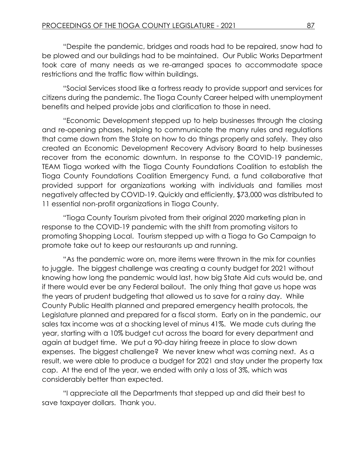"Despite the pandemic, bridges and roads had to be repaired, snow had to be plowed and our buildings had to be maintained. Our Public Works Department took care of many needs as we re-arranged spaces to accommodate space restrictions and the traffic flow within buildings.

"Social Services stood like a fortress ready to provide support and services for citizens during the pandemic. The Tioga County Career helped with unemployment benefits and helped provide jobs and clarification to those in need.

"Economic Development stepped up to help businesses through the closing and re-opening phases, helping to communicate the many rules and regulations that came down from the State on how to do things properly and safely. They also created an Economic Development Recovery Advisory Board to help businesses recover from the economic downturn. In response to the COVID-19 pandemic, TEAM Tioga worked with the Tioga County Foundations Coalition to establish the Tioga County Foundations Coalition Emergency Fund, a fund collaborative that provided support for organizations working with individuals and families most negatively affected by COVID-19. Quickly and efficiently, \$73,000 was distributed to 11 essential non-profit organizations in Tioga County.

"Tioga County Tourism pivoted from their original 2020 marketing plan in response to the COVID-19 pandemic with the shift from promoting visitors to promoting Shopping Local. Tourism stepped up with a Tioga to Go Campaign to promote take out to keep our restaurants up and running.

"As the pandemic wore on, more items were thrown in the mix for counties to juggle. The biggest challenge was creating a county budget for 2021 without knowing how long the pandemic would last, how big State Aid cuts would be, and if there would ever be any Federal bailout. The only thing that gave us hope was the years of prudent budgeting that allowed us to save for a rainy day. While County Public Health planned and prepared emergency health protocols, the Legislature planned and prepared for a fiscal storm. Early on in the pandemic, our sales tax income was at a shocking level of minus 41%. We made cuts during the year, starting with a 10% budget cut across the board for every department and again at budget time. We put a 90-day hiring freeze in place to slow down expenses. The biggest challenge? We never knew what was coming next. As a result, we were able to produce a budget for 2021 and stay under the property tax cap. At the end of the year, we ended with only a loss of 3%, which was considerably better than expected.

"I appreciate all the Departments that stepped up and did their best to save taxpayer dollars. Thank you.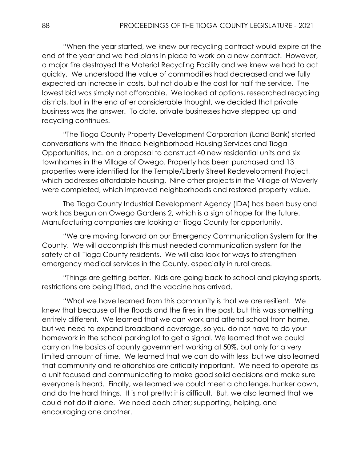"When the year started, we knew our recycling contract would expire at the end of the year and we had plans in place to work on a new contract. However, a major fire destroyed the Material Recycling Facility and we knew we had to act quickly. We understood the value of commodities had decreased and we fully expected an increase in costs, but not double the cost for half the service. The lowest bid was simply not affordable. We looked at options, researched recycling districts, but in the end after considerable thought, we decided that private business was the answer. To date, private businesses have stepped up and recycling continues.

"The Tioga County Property Development Corporation (Land Bank) started conversations with the Ithaca Neighborhood Housing Services and Tioga Opportunities, Inc. on a proposal to construct 40 new residential units and six townhomes in the Village of Owego. Property has been purchased and 13 properties were identified for the Temple/Liberty Street Redevelopment Project, which addresses affordable housing. Nine other projects in the Village of Waverly were completed, which improved neighborhoods and restored property value.

The Tioga County Industrial Development Agency (IDA) has been busy and work has begun on Owego Gardens 2, which is a sign of hope for the future. Manufacturing companies are looking at Tioga County for opportunity.

"We are moving forward on our Emergency Communication System for the County. We will accomplish this must needed communication system for the safety of all Tioga County residents. We will also look for ways to strengthen emergency medical services in the County, especially in rural areas.

"Things are getting better. Kids are going back to school and playing sports, restrictions are being lifted, and the vaccine has arrived.

"What we have learned from this community is that we are resilient. We knew that because of the floods and the fires in the past, but this was something entirely different. We learned that we can work and attend school from home, but we need to expand broadband coverage, so you do not have to do your homework in the school parking lot to get a signal. We learned that we could carry on the basics of county government working at 50%, but only for a very limited amount of time. We learned that we can do with less, but we also learned that community and relationships are critically important. We need to operate as a unit focused and communicating to make good solid decisions and make sure everyone is heard. Finally, we learned we could meet a challenge, hunker down, and do the hard things. It is not pretty; it is difficult. But, we also learned that we could not do it alone. We need each other; supporting, helping, and encouraging one another.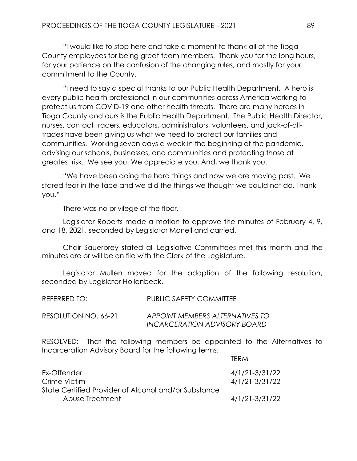"I would like to stop here and take a moment to thank all of the Tioga County employees for being great team members. Thank you for the long hours, for your patience on the confusion of the changing rules, and mostly for your commitment to the County.

"I need to say a special thanks to our Public Health Department. A hero is every public health professional in our communities across America working to protect us from COVID-19 and other health threats. There are many heroes in Tioga County and ours is the Public Health Department. The Public Health Director, nurses, contact tracers, educators, administrators, volunteers, and jack-of-alltrades have been giving us what we need to protect our families and communities. Working seven days a week in the beginning of the pandemic, advising our schools, businesses, and communities and protecting those at greatest risk. We see you. We appreciate you. And, we thank you.

"We have been doing the hard things and now we are moving past. We stared fear in the face and we did the things we thought we could not do. Thank you."

There was no privilege of the floor.

Legislator Roberts made a motion to approve the minutes of February 4, 9, and 18, 2021, seconded by Legislator Monell and carried.

Chair Sauerbrey stated all Legislative Committees met this month and the minutes are or will be on file with the Clerk of the Legislature.

Legislator Mullen moved for the adoption of the following resolution, seconded by Legislator Hollenbeck.

| REFERRED TO:         | PUBLIC SAFETY COMMITTEE                                         |
|----------------------|-----------------------------------------------------------------|
| RESOLUTION NO. 66-21 | APPOINT MEMBERS ALTERNATIVES TO<br>INCARCERATION ADVISORY BOARD |

RESOLVED: That the following members be appointed to the Alternatives to Incarceration Advisory Board for the following terms:

TERM

|                                                      | 11 N1V1        |
|------------------------------------------------------|----------------|
| Ex-Offender                                          | 4/1/21-3/31/22 |
| Crime Victim                                         | 4/1/21-3/31/22 |
| State Certified Provider of Alcohol and/or Substance |                |
| Abuse Treatment                                      | 4/1/21-3/31/22 |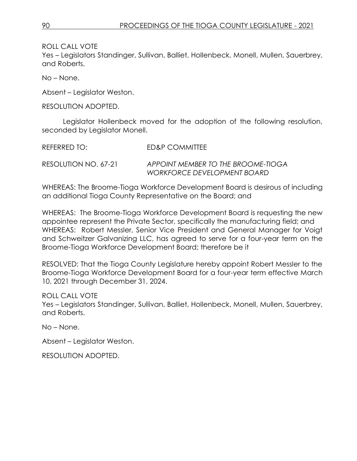Yes – Legislators Standinger, Sullivan, Balliet, Hollenbeck, Monell, Mullen, Sauerbrey, and Roberts.

No – None.

Absent – Legislator Weston.

RESOLUTION ADOPTED.

Legislator Hollenbeck moved for the adoption of the following resolution, seconded by Legislator Monell.

REFERRED TO: ED&P COMMITTEE RESOLUTION NO. 67-21 *APPOINT MEMBER TO THE BROOME-TIOGA WORKFORCE DEVELOPMENT BOARD*

WHEREAS: The Broome-Tioga Workforce Development Board is desirous of including an additional Tioga County Representative on the Board; and

WHEREAS: The Broome-Tioga Workforce Development Board is requesting the new appointee represent the Private Sector, specifically the manufacturing field; and WHEREAS: Robert Messler, Senior Vice President and General Manager for Voigt and Schweitzer Galvanizing LLC, has agreed to serve for a four-year term on the Broome-Tioga Workforce Development Board; therefore be it

RESOLVED: That the Tioga County Legislature hereby appoint Robert Messler to the Broome-Tioga Workforce Development Board for a four-year term effective March 10, 2021 through December 31, 2024.

ROLL CALL VOTE

Yes – Legislators Standinger, Sullivan, Balliet, Hollenbeck, Monell, Mullen, Sauerbrey, and Roberts.

No – None.

Absent – Legislator Weston.

RESOLUTION ADOPTED.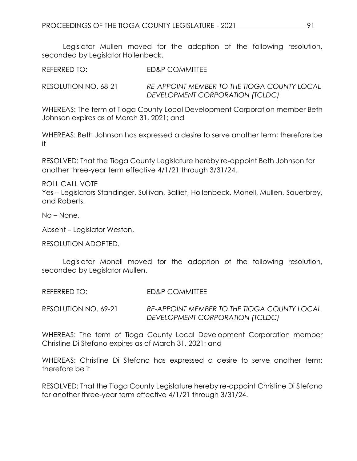Legislator Mullen moved for the adoption of the following resolution, seconded by Legislator Hollenbeck.

REFERRED TO: ED&P COMMITTEE

RESOLUTION NO. 68-21 *RE-APPOINT MEMBER TO THE TIOGA COUNTY LOCAL DEVELOPMENT CORPORATION (TCLDC)*

WHEREAS: The term of Tioga County Local Development Corporation member Beth Johnson expires as of March 31, 2021; and

WHEREAS: Beth Johnson has expressed a desire to serve another term; therefore be it

RESOLVED: That the Tioga County Legislature hereby re-appoint Beth Johnson for another three-year term effective 4/1/21 through 3/31/24.

ROLL CALL VOTE

Yes – Legislators Standinger, Sullivan, Balliet, Hollenbeck, Monell, Mullen, Sauerbrey, and Roberts.

No – None.

Absent – Legislator Weston.

RESOLUTION ADOPTED.

Legislator Monell moved for the adoption of the following resolution, seconded by Legislator Mullen.

REFERRED TO: ED&P COMMITTEE

RESOLUTION NO. 69-21 *RE-APPOINT MEMBER TO THE TIOGA COUNTY LOCAL DEVELOPMENT CORPORATION (TCLDC)*

WHEREAS: The term of Tioga County Local Development Corporation member Christine Di Stefano expires as of March 31, 2021; and

WHEREAS: Christine Di Stefano has expressed a desire to serve another term; therefore be it

RESOLVED: That the Tioga County Legislature hereby re-appoint Christine Di Stefano for another three-year term effective 4/1/21 through 3/31/24.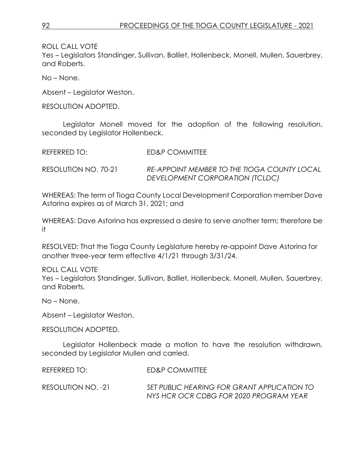*DEVELOPMENT CORPORATION (TCLDC)*

ROLL CALL VOTE

Yes – Legislators Standinger, Sullivan, Balliet, Hollenbeck, Monell, Mullen, Sauerbrey, and Roberts.

No – None.

Absent – Legislator Weston.

RESOLUTION ADOPTED.

Legislator Monell moved for the adoption of the following resolution, seconded by Legislator Hollenbeck.

| REFERRED TO:         | ED&P COMMITTEE                              |
|----------------------|---------------------------------------------|
| RESOLUTION NO. 70-21 | RE-APPOINT MEMBER TO THE TIOGA COUNTY LOCAL |

WHEREAS: The term of Tioga County Local Development Corporation member Dave Astorina expires as of March 31, 2021; and

WHEREAS: Dave Astorina has expressed a desire to serve another term; therefore be it

RESOLVED: That the Tioga County Legislature hereby re-appoint Dave Astorina for another three-year term effective 4/1/21 through 3/31/24.

ROLL CALL VOTE Yes – Legislators Standinger, Sullivan, Balliet, Hollenbeck, Monell, Mullen, Sauerbrey, and Roberts.

No – None.

Absent – Legislator Weston.

RESOLUTION ADOPTED.

Legislator Hollenbeck made a motion to have the resolution withdrawn, seconded by Legislator Mullen and carried.

REFERRED TO: FD&P COMMITTEE

RESOLUTION NO. -21 *SET PUBLIC HEARING FOR GRANT APPLICATION TO NYS HCR OCR CDBG FOR 2020 PROGRAM YEAR*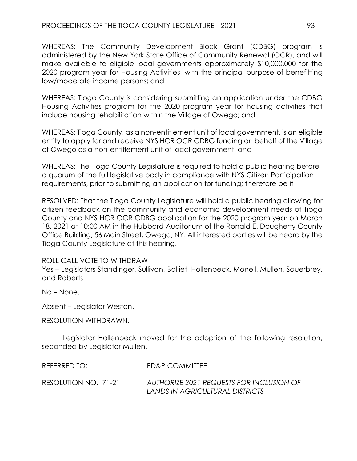WHEREAS: The Community Development Block Grant (CDBG) program is administered by the New York State Office of Community Renewal (OCR), and will make available to eligible local governments approximately \$10,000,000 for the 2020 program year for Housing Activities, with the principal purpose of benefitting low/moderate income persons; and

WHEREAS: Tioga County is considering submitting an application under the CDBG Housing Activities program for the 2020 program year for housing activities that include housing rehabilitation within the Village of Owego; and

WHEREAS: Tioga County, as a non-entitlement unit of local government, is an eligible entity to apply for and receive NYS HCR OCR CDBG funding on behalf of the Village of Owego as a non-entitlement unit of local government; and

WHEREAS: The Tioga County Legislature is required to hold a public hearing before a quorum of the full legislative body in compliance with NYS Citizen Participation requirements, prior to submitting an application for funding; therefore be it

RESOLVED: That the Tioga County Legislature will hold a public hearing allowing for citizen feedback on the community and economic development needs of Tioga County and NYS HCR OCR CDBG application for the 2020 program year on March 18, 2021 at 10:00 AM in the Hubbard Auditorium of the Ronald E. Dougherty County Office Building, 56 Main Street, Owego, NY. All interested parties will be heard by the Tioga County Legislature at this hearing.

#### ROLL CALL VOTE TO WITHDRAW

Yes – Legislators Standinger, Sullivan, Balliet, Hollenbeck, Monell, Mullen, Sauerbrey, and Roberts.

No – None.

Absent – Legislator Weston.

RESOLUTION WITHDRAWN.

Legislator Hollenbeck moved for the adoption of the following resolution, seconded by Legislator Mullen.

REFERRED TO: ED&P COMMITTEE

RESOLUTION NO. 71-21 *AUTHORIZE 2021 REQUESTS FOR INCLUSION OF LANDS IN AGRICULTURAL DISTRICTS*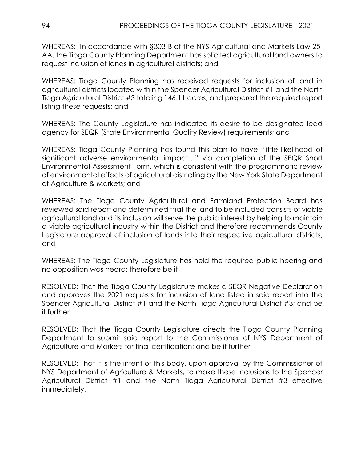WHEREAS: In accordance with §303-B of the NYS Agricultural and Markets Law 25- AA, the Tioga County Planning Department has solicited agricultural land owners to request inclusion of lands in agricultural districts; and

WHEREAS: Tioga County Planning has received requests for inclusion of land in agricultural districts located within the Spencer Agricultural District #1 and the North Tioga Agricultural District #3 totaling 146.11 acres, and prepared the required report listing these requests; and

WHEREAS: The County Legislature has indicated its desire to be designated lead agency for SEQR (State Environmental Quality Review) requirements; and

WHEREAS: Tioga County Planning has found this plan to have "little likelihood of significant adverse environmental impact…" via completion of the SEQR Short Environmental Assessment Form, which is consistent with the programmatic review of environmental effects of agricultural districting by the New York State Department of Agriculture & Markets; and

WHEREAS: The Tioga County Agricultural and Farmland Protection Board has reviewed said report and determined that the land to be included consists of viable agricultural land and its inclusion will serve the public interest by helping to maintain a viable agricultural industry within the District and therefore recommends County Legislature approval of inclusion of lands into their respective agricultural districts; and

WHEREAS: The Tioga County Legislature has held the required public hearing and no opposition was heard; therefore be it

RESOLVED: That the Tioga County Legislature makes a SEQR Negative Declaration and approves the 2021 requests for inclusion of land listed in said report into the Spencer Agricultural District #1 and the North Tioga Agricultural District #3; and be it further

RESOLVED: That the Tioga County Legislature directs the Tioga County Planning Department to submit said report to the Commissioner of NYS Department of Agriculture and Markets for final certification; and be it further

RESOLVED: That it is the intent of this body, upon approval by the Commissioner of NYS Department of Agriculture & Markets, to make these inclusions to the Spencer Agricultural District #1 and the North Tioga Agricultural District #3 effective immediately.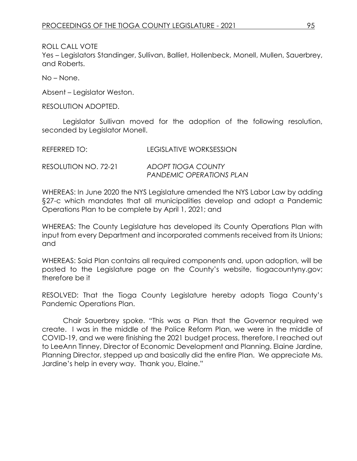Yes – Legislators Standinger, Sullivan, Balliet, Hollenbeck, Monell, Mullen, Sauerbrey, and Roberts.

No – None.

Absent – Legislator Weston.

RESOLUTION ADOPTED.

Legislator Sullivan moved for the adoption of the following resolution, seconded by Legislator Monell.

| REFERRED TO:         | LEGISLATIVE WORKSESSION                               |
|----------------------|-------------------------------------------------------|
| RESOLUTION NO. 72-21 | ADOPT TIOGA COUNTY<br><b>PANDEMIC OPERATIONS PLAN</b> |

WHEREAS: In June 2020 the NYS Legislature amended the NYS Labor Law by adding §27-c which mandates that all municipalities develop and adopt a Pandemic Operations Plan to be complete by April 1, 2021; and

WHEREAS: The County Legislature has developed its County Operations Plan with input from every Department and incorporated comments received from its Unions; and

WHEREAS: Said Plan contains all required components and, upon adoption, will be posted to the Legislature page on the County's website, tiogacountyny.gov; therefore be it

RESOLVED: That the Tioga County Legislature hereby adopts Tioga County's Pandemic Operations Plan.

Chair Sauerbrey spoke. "This was a Plan that the Governor required we create. I was in the middle of the Police Reform Plan, we were in the middle of COVID-19, and we were finishing the 2021 budget process, therefore, I reached out to LeeAnn Tinney, Director of Economic Development and Planning. Elaine Jardine, Planning Director, stepped up and basically did the entire Plan. We appreciate Ms. Jardine's help in every way. Thank you, Elaine."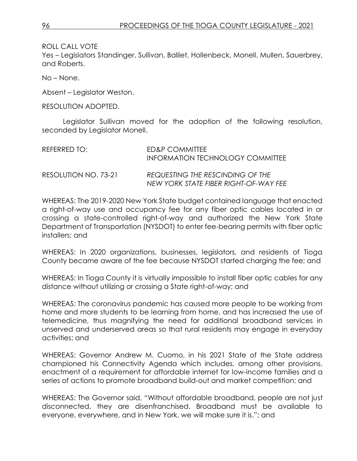Yes – Legislators Standinger, Sullivan, Balliet, Hollenbeck, Monell, Mullen, Sauerbrey, and Roberts.

No – None.

Absent – Legislator Weston.

RESOLUTION ADOPTED.

Legislator Sullivan moved for the adoption of the following resolution, seconded by Legislator Monell.

| REFERRED TO:         | ED&P COMMITTEE<br><b>INFORMATION TECHNOLOGY COMMITTEE</b>                 |
|----------------------|---------------------------------------------------------------------------|
| RESOLUTION NO. 73-21 | REQUESTING THE RESCINDING OF THE<br>NEW YORK STATE FIBER RIGHT-OF-WAY FEE |

WHEREAS: The 2019-2020 New York State budget contained language that enacted a right-of-way use and occupancy fee for any fiber optic cables located in or crossing a state-controlled right-of-way and authorized the New York State Department of Transportation (NYSDOT) to enter fee-bearing permits with fiber optic installers; and

WHEREAS: In 2020 organizations, businesses, legislators, and residents of Tioga County became aware of the fee because NYSDOT started charging the fee; and

WHEREAS: In Tioga County it is virtually impossible to install fiber optic cables for any distance without utilizing or crossing a State right-of-way; and

WHEREAS: The coronavirus pandemic has caused more people to be working from home and more students to be learning from home, and has increased the use of telemedicine, thus magnifying the need for additional broadband services in unserved and underserved areas so that rural residents may engage in everyday activities; and

WHEREAS: Governor Andrew M. Cuomo, in his 2021 State of the State address championed his Connectivity Agenda which includes, among other provisions, enactment of a requirement for affordable internet for low-income families and a series of actions to promote broadband build-out and market competition; and

WHEREAS: The Governor said, "Without affordable broadband, people are not just disconnected, they are disenfranchised. Broadband must be available to everyone, everywhere, and in New York, we will make sure it is."; and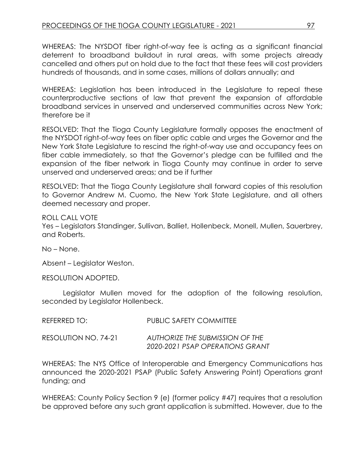WHEREAS: The NYSDOT fiber right-of-way fee is acting as a significant financial deterrent to broadband buildout in rural areas, with some projects already cancelled and others put on hold due to the fact that these fees will cost providers hundreds of thousands, and in some cases, millions of dollars annually; and

WHEREAS: Legislation has been introduced in the Legislature to repeal these counterproductive sections of law that prevent the expansion of affordable broadband services in unserved and underserved communities across New York; therefore be it

RESOLVED: That the Tioga County Legislature formally opposes the enactment of the NYSDOT right-of-way fees on fiber optic cable and urges the Governor and the New York State Legislature to rescind the right-of-way use and occupancy fees on fiber cable immediately, so that the Governor's pledge can be fulfilled and the expansion of the fiber network in Tioga County may continue in order to serve unserved and underserved areas; and be if further

RESOLVED: That the Tioga County Legislature shall forward copies of this resolution to Governor Andrew M. Cuomo, the New York State Legislature, and all others deemed necessary and proper.

ROLL CALL VOTE Yes – Legislators Standinger, Sullivan, Balliet, Hollenbeck, Monell, Mullen, Sauerbrey, and Roberts.

No – None.

Absent – Legislator Weston.

RESOLUTION ADOPTED.

Legislator Mullen moved for the adoption of the following resolution, seconded by Legislator Hollenbeck.

| REFERRED TO:         | <b>PUBLIC SAFETY COMMITTEE</b>                                            |
|----------------------|---------------------------------------------------------------------------|
| RESOLUTION NO. 74-21 | <b>AUTHORIZE THE SUBMISSION OF THE</b><br>2020-2021 PSAP OPERATIONS GRANT |

WHEREAS: The NYS Office of Interoperable and Emergency Communications has announced the 2020-2021 PSAP (Public Safety Answering Point) Operations grant funding; and

WHEREAS: County Policy Section 9 (e) (former policy #47) requires that a resolution be approved before any such grant application is submitted. However, due to the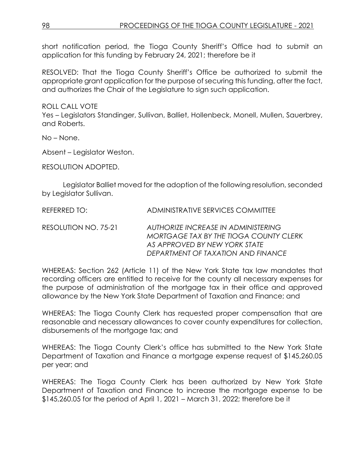short notification period, the Tioga County Sheriff's Office had to submit an application for this funding by February 24, 2021; therefore be it

RESOLVED: That the Tioga County Sheriff's Office be authorized to submit the appropriate grant application for the purpose of securing this funding, after the fact, and authorizes the Chair of the Legislature to sign such application.

ROLL CALL VOTE

Yes – Legislators Standinger, Sullivan, Balliet, Hollenbeck, Monell, Mullen, Sauerbrey, and Roberts.

No – None.

Absent – Legislator Weston.

RESOLUTION ADOPTED.

Legislator Balliet moved for the adoption of the following resolution, seconded by Legislator Sullivan.

| REFERRED TO:         | ADMINISTRATIVE SERVICES COMMITTEE                                                                                                                    |
|----------------------|------------------------------------------------------------------------------------------------------------------------------------------------------|
| RESOLUTION NO. 75-21 | AUTHORIZE INCREASE IN ADMINISTERING<br>MORTGAGE TAX BY THE TIOGA COUNTY CLERK<br>AS APPROVED BY NEW YORK STATE<br>DEPARTMENT OF TAXATION AND FINANCE |

WHEREAS: Section 262 (Article 11) of the New York State tax law mandates that recording officers are entitled to receive for the county all necessary expenses for the purpose of administration of the mortgage tax in their office and approved allowance by the New York State Department of Taxation and Finance; and

WHEREAS: The Tioga County Clerk has requested proper compensation that are reasonable and necessary allowances to cover county expenditures for collection, disbursements of the mortgage tax; and

WHEREAS: The Tioga County Clerk's office has submitted to the New York State Department of Taxation and Finance a mortgage expense request of \$145,260.05 per year; and

WHEREAS: The Tioga County Clerk has been authorized by New York State Department of Taxation and Finance to increase the mortgage expense to be \$145,260.05 for the period of April 1, 2021 – March 31, 2022; therefore be it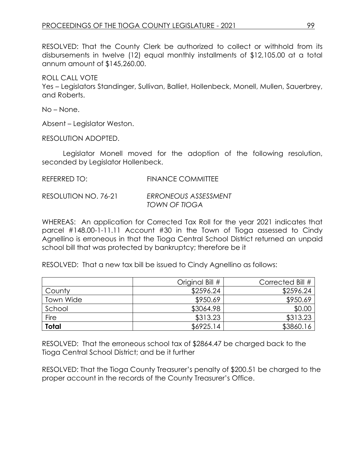RESOLVED: That the County Clerk be authorized to collect or withhold from its disbursements in twelve (12) equal monthly installments of \$12,105.00 at a total annum amount of \$145,260.00.

ROLL CALL VOTE

Yes – Legislators Standinger, Sullivan, Balliet, Hollenbeck, Monell, Mullen, Sauerbrey, and Roberts.

No – None.

Absent – Legislator Weston.

RESOLUTION ADOPTED.

Legislator Monell moved for the adoption of the following resolution, seconded by Legislator Hollenbeck.

| REFERRED TO:         | <b>FINANCE COMMITTEE</b> |
|----------------------|--------------------------|
| RESOLUTION NO. 76-21 | ERRONEOUS ASSESSMENT     |
|                      | TOWN OF TIOGA            |

WHEREAS: An application for Corrected Tax Roll for the year 2021 indicates that parcel #148.00-1-11.11 Account #30 in the Town of Tioga assessed to Cindy Agnellino is erroneous in that the Tioga Central School District returned an unpaid school bill that was protected by bankruptcy; therefore be it

RESOLVED: That a new tax bill be issued to Cindy Agnellino as follows:

|              | Original Bill # | Corrected Bill # |
|--------------|-----------------|------------------|
| County       | \$2596.24       | \$2596.24        |
| Town Wide    | \$950.69        | \$950.69         |
| School       | \$3064.98       | \$0.00           |
| Fire         | \$313.23        | \$313.23         |
| <b>Total</b> | \$6925.14       | \$3860.16        |

RESOLVED: That the erroneous school tax of \$2864.47 be charged back to the Tioga Central School District; and be it further

RESOLVED: That the Tioga County Treasurer's penalty of \$200.51 be charged to the proper account in the records of the County Treasurer's Office.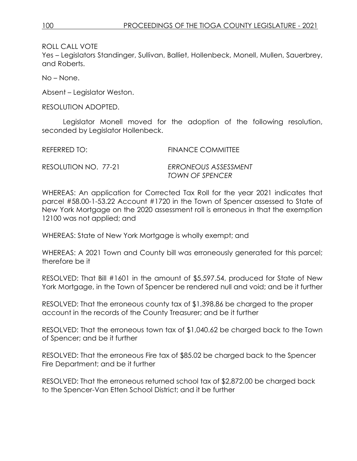Yes – Legislators Standinger, Sullivan, Balliet, Hollenbeck, Monell, Mullen, Sauerbrey, and Roberts.

No – None.

Absent – Legislator Weston.

RESOLUTION ADOPTED.

Legislator Monell moved for the adoption of the following resolution, seconded by Legislator Hollenbeck.

REFERRED TO: FINANCE COMMITTEE

RESOLUTION NO. 77-21 *ERRONEOUS ASSESSMENT TOWN OF SPENCER* 

WHEREAS: An application for Corrected Tax Roll for the year 2021 indicates that parcel #58.00-1-53.22 Account #1720 in the Town of Spencer assessed to State of New York Mortgage on the 2020 assessment roll is erroneous in that the exemption 12100 was not applied; and

WHEREAS: State of New York Mortgage is wholly exempt; and

WHEREAS: A 2021 Town and County bill was erroneously generated for this parcel; therefore be it

RESOLVED: That Bill #1601 in the amount of \$5,597.54, produced for State of New York Mortgage, in the Town of Spencer be rendered null and void; and be it further

RESOLVED: That the erroneous county tax of \$1,398.86 be charged to the proper account in the records of the County Treasurer; and be it further

RESOLVED: That the erroneous town tax of \$1,040.62 be charged back to the Town of Spencer; and be it further

RESOLVED: That the erroneous Fire tax of \$85.02 be charged back to the Spencer Fire Department; and be it further

RESOLVED: That the erroneous returned school tax of \$2,872.00 be charged back to the Spencer-Van Etten School District; and it be further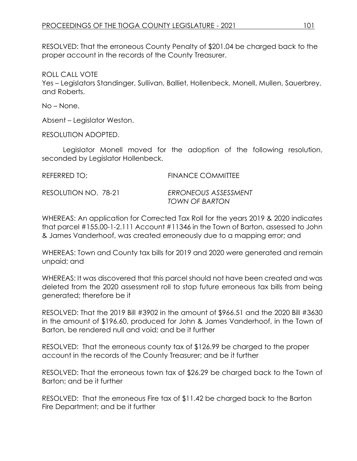RESOLVED: That the erroneous County Penalty of \$201.04 be charged back to the proper account in the records of the County Treasurer.

ROLL CALL VOTE

Yes – Legislators Standinger, Sullivan, Balliet, Hollenbeck, Monell, Mullen, Sauerbrey, and Roberts.

No – None.

Absent – Legislator Weston.

RESOLUTION ADOPTED.

Legislator Monell moved for the adoption of the following resolution, seconded by Legislator Hollenbeck.

| REFERRED TO:         | <b>FINANCE COMMITTEE</b> |
|----------------------|--------------------------|
| RESOLUTION NO. 78-21 | ERRONEOUS ASSESSMENT     |
|                      | TOWN OF BARTON           |

WHEREAS: An application for Corrected Tax Roll for the years 2019 & 2020 indicates that parcel #155.00-1-2.111 Account #11346 in the Town of Barton, assessed to John & James Vanderhoof, was created erroneously due to a mapping error; and

WHEREAS: Town and County tax bills for 2019 and 2020 were generated and remain unpaid; and

WHEREAS: It was discovered that this parcel should not have been created and was deleted from the 2020 assessment roll to stop future erroneous tax bills from being generated; therefore be it

RESOLVED: That the 2019 Bill #3902 in the amount of \$966.51 and the 2020 Bill #3630 in the amount of \$196.60, produced for John & James Vanderhoof, in the Town of Barton, be rendered null and void; and be it further

RESOLVED: That the erroneous county tax of \$126.99 be charged to the proper account in the records of the County Treasurer; and be it further

RESOLVED: That the erroneous town tax of \$26.29 be charged back to the Town of Barton; and be it further

RESOLVED: That the erroneous Fire tax of \$11.42 be charged back to the Barton Fire Department; and be it further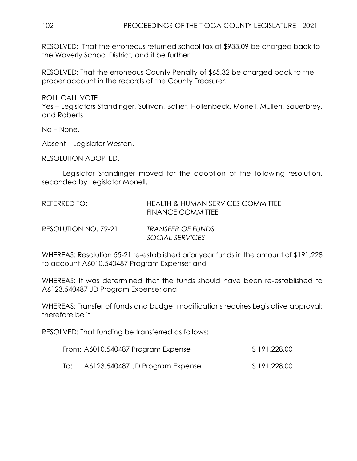RESOLVED: That the erroneous returned school tax of \$933.09 be charged back to the Waverly School District; and it be further

RESOLVED: That the erroneous County Penalty of \$65.32 be charged back to the proper account in the records of the County Treasurer.

ROLL CALL VOTE

Yes – Legislators Standinger, Sullivan, Balliet, Hollenbeck, Monell, Mullen, Sauerbrey, and Roberts.

No – None.

Absent – Legislator Weston.

RESOLUTION ADOPTED.

Legislator Standinger moved for the adoption of the following resolution, seconded by Legislator Monell.

| REFERRED TO:         | <b>HEALTH &amp; HUMAN SERVICES COMMITTEE</b><br><b>FINANCE COMMITTEE</b> |
|----------------------|--------------------------------------------------------------------------|
| RESOLUTION NO. 79-21 | TRANSFER OF FUNDS<br>SOCIAL SERVICES                                     |

WHEREAS: Resolution 55-21 re-established prior year funds in the amount of \$191,228 to account A6010.540487 Program Expense; and

WHEREAS: It was determined that the funds should have been re-established to A6123.540487 JD Program Expense; and

WHEREAS: Transfer of funds and budget modifications requires Legislative approval; therefore be it

RESOLVED: That funding be transferred as follows:

| From: A6010.540487 Program Expense | \$191,228.00 |
|------------------------------------|--------------|
|                                    |              |

To: A6123.540487 JD Program Expense \$ 191,228.00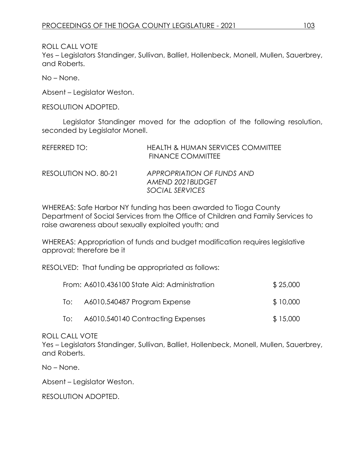ROLL CALL VOTE Yes – Legislators Standinger, Sullivan, Balliet, Hollenbeck, Monell, Mullen, Sauerbrey, and Roberts.

No – None.

Absent – Legislator Weston.

RESOLUTION ADOPTED.

Legislator Standinger moved for the adoption of the following resolution, seconded by Legislator Monell.

| REFERRED TO:         | <b>HEALTH &amp; HUMAN SERVICES COMMITTEE</b><br><b>FINANCE COMMITTEE</b> |
|----------------------|--------------------------------------------------------------------------|
| RESOLUTION NO. 80-21 | APPROPRIATION OF FUNDS AND<br>AMEND 2021BUDGET                           |
|                      | SOCIAL SERVICES                                                          |

WHEREAS: Safe Harbor NY funding has been awarded to Tioga County Department of Social Services from the Office of Children and Family Services to raise awareness about sexually exploited youth; and

WHEREAS: Appropriation of funds and budget modification requires legislative approval; therefore be it

RESOLVED: That funding be appropriated as follows:

|     | From: A6010.436100 State Aid: Administration | \$25,000 |
|-----|----------------------------------------------|----------|
| lo: | A6010.540487 Program Expense                 | \$10,000 |
| To: | A6010.540140 Contracting Expenses            | \$15,000 |

ROLL CALL VOTE

Yes – Legislators Standinger, Sullivan, Balliet, Hollenbeck, Monell, Mullen, Sauerbrey, and Roberts.

No – None.

Absent – Legislator Weston.

RESOLUTION ADOPTED.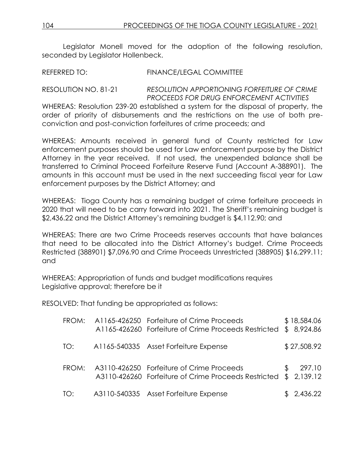Legislator Monell moved for the adoption of the following resolution, seconded by Legislator Hollenbeck.

REFERRED TO: FINANCE/LEGAL COMMITTEE

## RESOLUTION NO. 81-21 *RESOLUTION APPORTIONING FORFEITURE OF CRIME PROCEEDS FOR DRUG ENFORCEMENT ACTIVITIES*

WHEREAS: Resolution 239-20 established a system for the disposal of property, the order of priority of disbursements and the restrictions on the use of both preconviction and post-conviction forfeitures of crime proceeds; and

WHEREAS: Amounts received in general fund of County restricted for Law enforcement purposes should be used for Law enforcement purpose by the District Attorney in the year received. If not used, the unexpended balance shall be transferred to Criminal Proceed Forfeiture Reserve Fund (Account A-388901). The amounts in this account must be used in the next succeeding fiscal year for Law enforcement purposes by the District Attorney; and

WHEREAS: Tioga County has a remaining budget of crime forfeiture proceeds in 2020 that will need to be carry forward into 2021. The Sheriff's remaining budget is \$2,436.22 and the District Attorney's remaining budget is \$4,112.90; and

WHEREAS: There are two Crime Proceeds reserves accounts that have balances that need to be allocated into the District Attorney's budget. Crime Proceeds Restricted (388901) \$7,096.90 and Crime Proceeds Unrestricted (388905) \$16,299.11; and

WHEREAS: Appropriation of funds and budget modifications requires Legislative approval; therefore be it

RESOLVED: That funding be appropriated as follows:

| FROM: | A1165-426250 Forfeiture of Crime Proceeds<br>A1165-426260 Forfeiture of Crime Proceeds Restricted |     | \$18,584.06<br>\$8,924.86 |
|-------|---------------------------------------------------------------------------------------------------|-----|---------------------------|
| TO:   | A1165-540335 Asset Forfeiture Expense                                                             |     | \$27,508.92               |
| FROM: | A3110-426250 Forfeiture of Crime Proceeds<br>A3110-426260 Forfeiture of Crime Proceeds Restricted | \$. | 297.10<br>\$2,139.12      |
| TO:   | A3110-540335 Asset Forfeiture Expense                                                             |     | \$2,436.22                |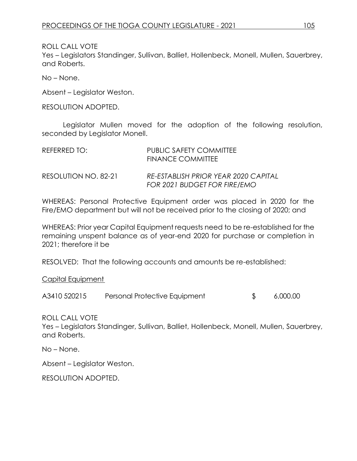Yes – Legislators Standinger, Sullivan, Balliet, Hollenbeck, Monell, Mullen, Sauerbrey, and Roberts.

No – None.

Absent – Legislator Weston.

RESOLUTION ADOPTED.

Legislator Mullen moved for the adoption of the following resolution, seconded by Legislator Monell.

| REFERRED TO:         | PUBLIC SAFETY COMMITTEE<br><b>FINANCE COMMITTEE</b>                  |
|----------------------|----------------------------------------------------------------------|
| RESOLUTION NO. 82-21 | RE-ESTABLISH PRIOR YEAR 2020 CAPITAL<br>FOR 2021 BUDGET FOR FIRE/EMO |

WHEREAS: Personal Protective Equipment order was placed in 2020 for the Fire/EMO department but will not be received prior to the closing of 2020; and

WHEREAS: Prior year Capital Equipment requests need to be re-established for the remaining unspent balance as of year-end 2020 for purchase or completion in 2021; therefore it be

RESOLVED: That the following accounts and amounts be re-established:

Capital Equipment

A3410 520215 Personal Protective Equipment \$ 6,000.00

ROLL CALL VOTE

Yes – Legislators Standinger, Sullivan, Balliet, Hollenbeck, Monell, Mullen, Sauerbrey, and Roberts.

No – None.

Absent – Legislator Weston.

RESOLUTION ADOPTED.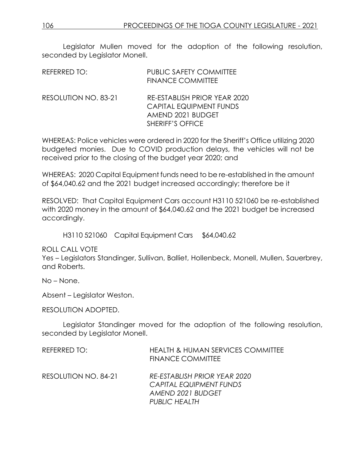Legislator Mullen moved for the adoption of the following resolution, seconded by Legislator Monell.

| REFERRED TO:         | <b>PUBLIC SAFETY COMMITTEE</b><br><b>FINANCE COMMITTEE</b>                                                     |
|----------------------|----------------------------------------------------------------------------------------------------------------|
| RESOLUTION NO. 83-21 | RE-ESTABLISH PRIOR YEAR 2020<br><b>CAPITAL EQUIPMENT FUNDS</b><br>AMEND 2021 BUDGET<br><b>SHERIFF'S OFFICE</b> |

WHEREAS: Police vehicles were ordered in 2020 for the Sheriff's Office utilizing 2020 budgeted monies. Due to COVID production delays, the vehicles will not be received prior to the closing of the budget year 2020; and

WHEREAS: 2020 Capital Equipment funds need to be re-established in the amount of \$64,040.62 and the 2021 budget increased accordingly; therefore be it

RESOLVED: That Capital Equipment Cars account H3110 521060 be re-established with 2020 money in the amount of \$64,040.62 and the 2021 budget be increased accordingly.

H3110 521060 Capital Equipment Cars S64,040.62

ROLL CALL VOTE

Yes – Legislators Standinger, Sullivan, Balliet, Hollenbeck, Monell, Mullen, Sauerbrey, and Roberts.

No – None.

Absent – Legislator Weston.

RESOLUTION ADOPTED.

Legislator Standinger moved for the adoption of the following resolution, seconded by Legislator Monell.

| REFERRED TO:         | <b>HEALTH &amp; HUMAN SERVICES COMMITTEE</b><br><b>FINANCE COMMITTEE</b>     |
|----------------------|------------------------------------------------------------------------------|
| RESOLUTION NO. 84-21 | RE-ESTABLISH PRIOR YEAR 2020<br>CAPITAL EQUIPMENT FUNDS<br>AMEND 2021 BUDGET |
|                      | <b>PUBLIC HEALTH</b>                                                         |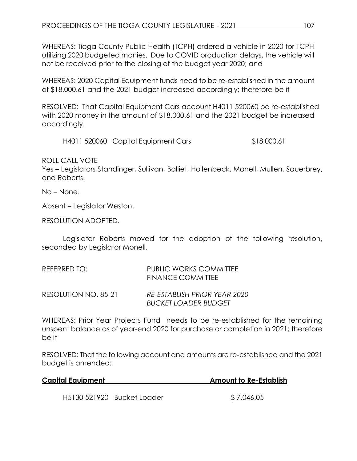WHEREAS: Tioga County Public Health (TCPH) ordered a vehicle in 2020 for TCPH utilizing 2020 budgeted monies. Due to COVID production delays, the vehicle will not be received prior to the closing of the budget year 2020; and

WHEREAS: 2020 Capital Equipment funds need to be re-established in the amount of \$18,000.61 and the 2021 budget increased accordingly; therefore be it

RESOLVED: That Capital Equipment Cars account H4011 520060 be re-established with 2020 money in the amount of \$18,000.61 and the 2021 budget be increased accordingly.

H4011 520060 Capital Equipment Cars \$18,000.61

ROLL CALL VOTE

Yes – Legislators Standinger, Sullivan, Balliet, Hollenbeck, Monell, Mullen, Sauerbrey, and Roberts.

No – None.

Absent – Legislator Weston.

RESOLUTION ADOPTED.

Legislator Roberts moved for the adoption of the following resolution, seconded by Legislator Monell.

| REFERRED TO:         | <b>PUBLIC WORKS COMMITTEE</b><br><b>FINANCE COMMITTEE</b>   |
|----------------------|-------------------------------------------------------------|
| RESOLUTION NO. 85-21 | RE-ESTABLISH PRIOR YEAR 2020<br><b>BUCKET LOADER BUDGET</b> |

WHEREAS: Prior Year Projects Fund needs to be re-established for the remaining unspent balance as of year-end 2020 for purchase or completion in 2021; therefore be it

RESOLVED: That the following account and amounts are re-established and the 2021 budget is amended:

| <b>Capital Equipment</b> |                            | <b>Amount to Re-Establish</b> |
|--------------------------|----------------------------|-------------------------------|
|                          |                            |                               |
|                          | H5130 521920 Bucket Loader | \$7,046.05                    |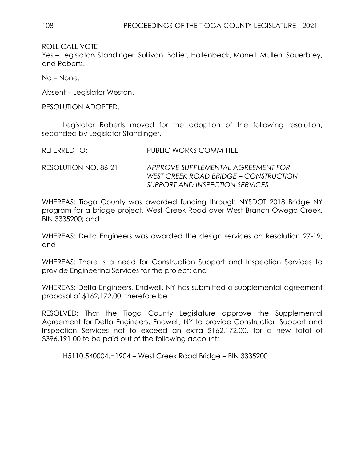Yes – Legislators Standinger, Sullivan, Balliet, Hollenbeck, Monell, Mullen, Sauerbrey, and Roberts.

No – None.

Absent – Legislator Weston.

RESOLUTION ADOPTED.

Legislator Roberts moved for the adoption of the following resolution, seconded by Legislator Standinger.

| REFERRED TO: | PUBLIC WORKS COMMITTEE |
|--------------|------------------------|
|              |                        |

RESOLUTION NO. 86-21 *APPROVE SUPPLEMENTAL AGREEMENT FOR WEST CREEK ROAD BRIDGE – CONSTRUCTION SUPPORT AND INSPECTION SERVICES*

WHEREAS: Tioga County was awarded funding through NYSDOT 2018 Bridge NY program for a bridge project, West Creek Road over West Branch Owego Creek, BIN 3335200; and

WHEREAS: Delta Engineers was awarded the design services on Resolution 27-19; and

WHEREAS: There is a need for Construction Support and Inspection Services to provide Engineering Services for the project; and

WHEREAS: Delta Engineers, Endwell, NY has submitted a supplemental agreement proposal of \$162,172.00; therefore be it

RESOLVED: That the Tioga County Legislature approve the Supplemental Agreement for Delta Engineers, Endwell, NY to provide Construction Support and Inspection Services not to exceed an extra \$162,172.00, for a new total of \$396,191.00 to be paid out of the following account:

H5110.540004.H1904 – West Creek Road Bridge – BIN 3335200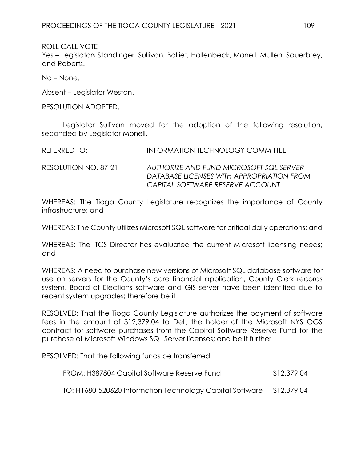Yes – Legislators Standinger, Sullivan, Balliet, Hollenbeck, Monell, Mullen, Sauerbrey, and Roberts.

No – None.

Absent – Legislator Weston.

RESOLUTION ADOPTED.

Legislator Sullivan moved for the adoption of the following resolution, seconded by Legislator Monell.

| REFERRED TO:         | INFORMATION TECHNOLOGY COMMITTEE                                                                                         |
|----------------------|--------------------------------------------------------------------------------------------------------------------------|
| RESOLUTION NO. 87-21 | AUTHORIZE AND FUND MICROSOFT SQL SERVER<br>DATABASE LICENSES WITH APPROPRIATION FROM<br>CAPITAL SOFTWARE RESERVE ACCOUNT |

WHEREAS: The Tioga County Legislature recognizes the importance of County infrastructure; and

WHEREAS: The County utilizes Microsoft SQL software for critical daily operations; and

WHEREAS: The ITCS Director has evaluated the current Microsoft licensing needs; and

WHEREAS: A need to purchase new versions of Microsoft SQL database software for use on servers for the County's core financial application, County Clerk records system, Board of Elections software and GIS server have been identified due to recent system upgrades; therefore be it

RESOLVED: That the Tioga County Legislature authorizes the payment of software fees in the amount of \$12,379.04 to Dell, the holder of the Microsoft NYS OGS contract for software purchases from the Capital Software Reserve Fund for the purchase of Microsoft Windows SQL Server licenses; and be it further

RESOLVED: That the following funds be transferred:

| FROM: H387804 Capital Software Reserve Fund              | \$12,379.04 |
|----------------------------------------------------------|-------------|
| TO: H1680-520620 Information Technology Capital Software | \$12,379.04 |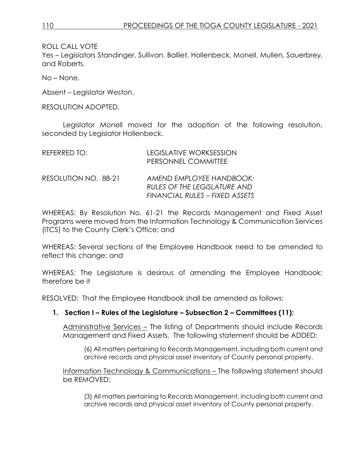Yes – Legislators Standinger, Sullivan, Balliet, Hollenbeck, Monell, Mullen, Sauerbrey, and Roberts.

No – None.

Absent – Legislator Weston.

RESOLUTION ADOPTED.

Legislator Monell moved for the adoption of the following resolution, seconded by Legislator Hollenbeck.

| REFERRED TO:         | <b>LEGISLATIVE WORKSESSION</b><br>PERSONNEL COMMITTEE                                      |
|----------------------|--------------------------------------------------------------------------------------------|
| RESOLUTION NO. 88-21 | AMEND EMPLOYEE HANDBOOK:<br>RULES OF THE LEGISLATURE AND<br>FINANCIAL RULES – FIXED ASSETS |

WHEREAS: By Resolution No. 61-21 the Records Management and Fixed Asset Programs were moved from the Information Technology & Communication Services (ITCS) to the County Clerk's Office; and

WHEREAS: Several sections of the Employee Handbook need to be amended to reflect this change; and

WHEREAS: The Legislature is desirous of amending the Employee Handbook; therefore be it

RESOLVED: That the Employee Handbook shall be amended as follows:

## **1. Section I – Rules of the Legislature – Subsection 2 – Committees (11):**

Administrative Services – The listing of Departments should include Records Management and Fixed Assets. The following statement should be ADDED:

(6) All matters pertaining to Records Management, including both current and archive records and physical asset inventory of County personal property.

Information Technology & Communications – The following statement should be REMOVED:

(3) All matters pertaining to Records Management, including both current and archive records and physical asset inventory of County personal property.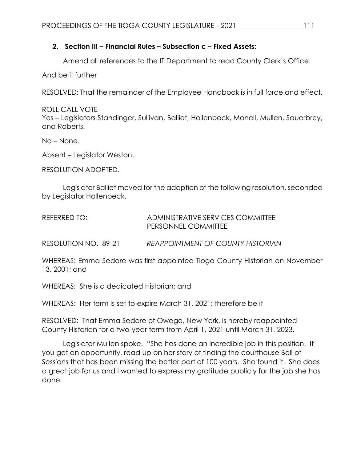## **2. Section III – Financial Rules – Subsection c – Fixed Assets:**

Amend all references to the IT Department to read County Clerk's Office.

And be it further

RESOLVED: That the remainder of the Employee Handbook is in full force and effect.

ROLL CALL VOTE Yes – Legislators Standinger, Sullivan, Balliet, Hollenbeck, Monell, Mullen, Sauerbrey, and Roberts.

No – None.

Absent – Legislator Weston.

RESOLUTION ADOPTED.

Legislator Balliet moved for the adoption of the following resolution, seconded by Legislator Hollenbeck.

| REFERRED TO: | ADMINISTRATIVE SERVICES COMMITTEE |
|--------------|-----------------------------------|
|              | PERSONNEL COMMITTEE               |

RESOLUTION NO. 89-21 *REAPPOINTMENT OF COUNTY HISTORIAN*

WHEREAS: Emma Sedore was first appointed Tioga County Historian on November 13, 2001; and

WHEREAS: She is a dedicated Historian; and

WHEREAS: Her term is set to expire March 31, 2021; therefore be it

RESOLVED: That Emma Sedore of Owego, New York, is hereby reappointed County Historian for a two-year term from April 1, 2021 until March 31, 2023.

Legislator Mullen spoke. "She has done an incredible job in this position. If you get an opportunity, read up on her story of finding the courthouse Bell of Sessions that has been missing the better part of 100 years. She found it. She does a great job for us and I wanted to express my gratitude publicly for the job she has done.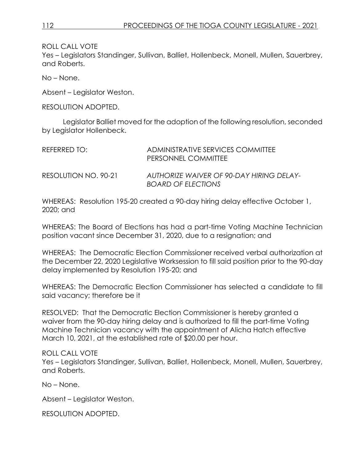Yes – Legislators Standinger, Sullivan, Balliet, Hollenbeck, Monell, Mullen, Sauerbrey, and Roberts.

No – None.

Absent – Legislator Weston.

RESOLUTION ADOPTED.

Legislator Balliet moved for the adoption of the following resolution, seconded by Legislator Hollenbeck.

| REFERRED TO:         | ADMINISTRATIVE SERVICES COMMITTEE<br>PERSONNEL COMMITTEE              |
|----------------------|-----------------------------------------------------------------------|
| RESOLUTION NO. 90-21 | AUTHORIZE WAIVER OF 90-DAY HIRING DELAY-<br><b>BOARD OF ELECTIONS</b> |

WHEREAS: Resolution 195-20 created a 90-day hiring delay effective October 1, 2020; and

WHEREAS: The Board of Elections has had a part-time Voting Machine Technician position vacant since December 31, 2020, due to a resignation; and

WHEREAS: The Democratic Election Commissioner received verbal authorization at the December 22, 2020 Legislative Worksession to fill said position prior to the 90-day delay implemented by Resolution 195-20; and

WHEREAS: The Democratic Election Commissioner has selected a candidate to fill said vacancy; therefore be it

RESOLVED: That the Democratic Election Commissioner is hereby granted a waiver from the 90-day hiring delay and is authorized to fill the part-time Voting Machine Technician vacancy with the appointment of Alicha Hatch effective March 10, 2021, at the established rate of \$20.00 per hour.

#### ROLL CALL VOTE

Yes – Legislators Standinger, Sullivan, Balliet, Hollenbeck, Monell, Mullen, Sauerbrey, and Roberts.

No – None.

Absent – Legislator Weston.

RESOLUTION ADOPTED.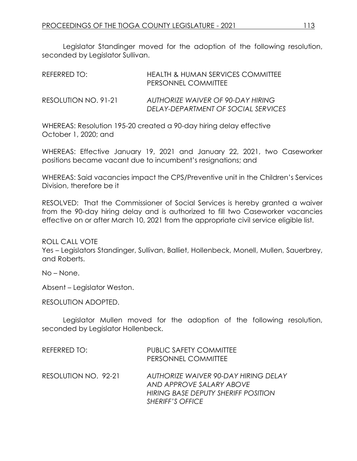Legislator Standinger moved for the adoption of the following resolution, seconded by Legislator Sullivan.

| REFERRED TO:         | <b>HEALTH &amp; HUMAN SERVICES COMMITTEE</b><br>PERSONNEL COMMITTEE      |
|----------------------|--------------------------------------------------------------------------|
| RESOLUTION NO. 91-21 | AUTHORIZE WAIVER OF 90-DAY HIRING<br>DELAY-DEPARTMENT OF SOCIAL SERVICES |

WHEREAS: Resolution 195-20 created a 90-day hiring delay effective October 1, 2020; and

WHEREAS: Effective January 19, 2021 and January 22, 2021, two Caseworker positions became vacant due to incumbent's resignations; and

WHEREAS: Said vacancies impact the CPS/Preventive unit in the Children's Services Division, therefore be it

RESOLVED: That the Commissioner of Social Services is hereby granted a waiver from the 90-day hiring delay and is authorized to fill two Caseworker vacancies effective on or after March 10, 2021 from the appropriate civil service eligible list.

ROLL CALL VOTE

Yes – Legislators Standinger, Sullivan, Balliet, Hollenbeck, Monell, Mullen, Sauerbrey, and Roberts.

No – None.

Absent – Legislator Weston.

RESOLUTION ADOPTED.

Legislator Mullen moved for the adoption of the following resolution, seconded by Legislator Hollenbeck.

| REFERRED TO:         | <b>PUBLIC SAFETY COMMITTEE</b><br>PERSONNEL COMMITTEE                                                                              |
|----------------------|------------------------------------------------------------------------------------------------------------------------------------|
| RESOLUTION NO. 92-21 | AUTHORIZE WAIVER 90-DAY HIRING DELAY<br>AND APPROVE SALARY ABOVE<br>HIRING BASE DEPUTY SHERIFF POSITION<br><b>SHERIFF'S OFFICE</b> |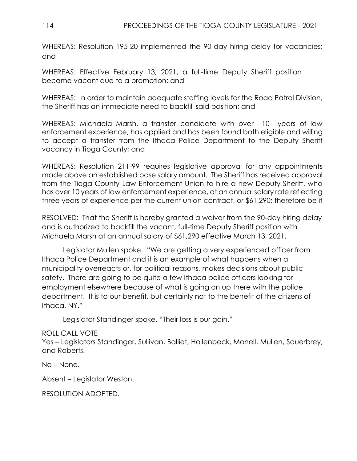WHEREAS: Resolution 195-20 implemented the 90-day hiring delay for vacancies; and

WHEREAS: Effective February 13, 2021, a full-time Deputy Sheriff position became vacant due to a promotion; and

WHEREAS: In order to maintain adequate staffing levels for the Road Patrol Division, the Sheriff has an immediate need to backfill said position; and

WHEREAS: Michaela Marsh, a transfer candidate with over 10 years of law enforcement experience, has applied and has been found both eligible and willing to accept a transfer from the Ithaca Police Department to the Deputy Sheriff vacancy in Tioga County; and

WHEREAS: Resolution 211-99 requires legislative approval for any appointments made above an established base salary amount. The Sheriff has received approval from the Tioga County Law Enforcement Union to hire a new Deputy Sheriff, who has over 10 years of law enforcement experience, at an annual salary rate reflecting three years of experience per the current union contract, or \$61,290; therefore be it

RESOLVED: That the Sheriff is hereby granted a waiver from the 90-day hiring delay and is authorized to backfill the vacant, full-time Deputy Sheriff position with Michaela Marsh at an annual salary of \$61,290 effective March 13, 2021.

Legislator Mullen spoke. "We are getting a very experienced officer from Ithaca Police Department and it is an example of what happens when a municipality overreacts or, for political reasons, makes decisions about public safety. There are going to be quite a few Ithaca police officers looking for employment elsewhere because of what is going on up there with the police department. It is to our benefit, but certainly not to the benefit of the citizens of Ithaca, NY."

Legislator Standinger spoke. "Their loss is our gain."

## ROLL CALL VOTE

Yes – Legislators Standinger, Sullivan, Balliet, Hollenbeck, Monell, Mullen, Sauerbrey, and Roberts.

No – None.

Absent – Legislator Weston.

RESOLUTION ADOPTED.